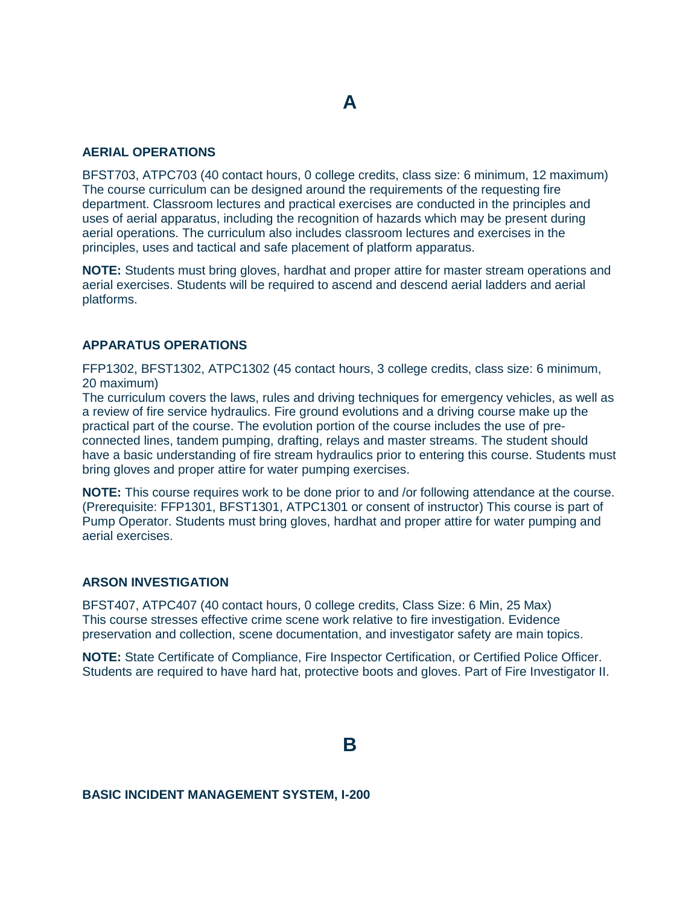# **A**

### **AERIAL OPERATIONS**

BFST703, ATPC703 (40 contact hours, 0 college credits, class size: 6 minimum, 12 maximum) The course curriculum can be designed around the requirements of the requesting fire department. Classroom lectures and practical exercises are conducted in the principles and uses of aerial apparatus, including the recognition of hazards which may be present during aerial operations. The curriculum also includes classroom lectures and exercises in the principles, uses and tactical and safe placement of platform apparatus.

**NOTE:** Students must bring gloves, hardhat and proper attire for master stream operations and aerial exercises. Students will be required to ascend and descend aerial ladders and aerial platforms.

### **APPARATUS OPERATIONS**

FFP1302, BFST1302, ATPC1302 (45 contact hours, 3 college credits, class size: 6 minimum, 20 maximum)

The curriculum covers the laws, rules and driving techniques for emergency vehicles, as well as a review of fire service hydraulics. Fire ground evolutions and a driving course make up the practical part of the course. The evolution portion of the course includes the use of preconnected lines, tandem pumping, drafting, relays and master streams. The student should have a basic understanding of fire stream hydraulics prior to entering this course. Students must bring gloves and proper attire for water pumping exercises.

**NOTE:** This course requires work to be done prior to and /or following attendance at the course. (Prerequisite: FFP1301, BFST1301, ATPC1301 or consent of instructor) This course is part of Pump Operator. Students must bring gloves, hardhat and proper attire for water pumping and aerial exercises.

# **ARSON INVESTIGATION**

BFST407, ATPC407 (40 contact hours, 0 college credits, Class Size: 6 Min, 25 Max) This course stresses effective crime scene work relative to fire investigation. Evidence preservation and collection, scene documentation, and investigator safety are main topics.

**NOTE:** State Certificate of Compliance, Fire Inspector Certification, or Certified Police Officer. Students are required to have hard hat, protective boots and gloves. Part of Fire Investigator II.

# **B**

#### **BASIC INCIDENT MANAGEMENT SYSTEM, I-200**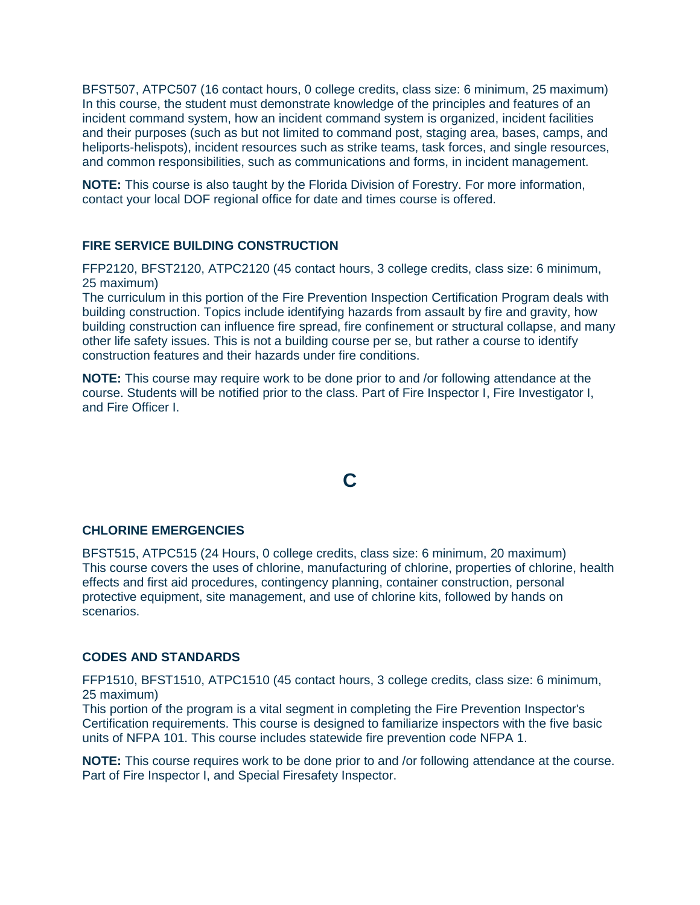BFST507, ATPC507 (16 contact hours, 0 college credits, class size: 6 minimum, 25 maximum) In this course, the student must demonstrate knowledge of the principles and features of an incident command system, how an incident command system is organized, incident facilities and their purposes (such as but not limited to command post, staging area, bases, camps, and heliports-helispots), incident resources such as strike teams, task forces, and single resources, and common responsibilities, such as communications and forms, in incident management.

**NOTE:** This course is also taught by the Florida Division of Forestry. For more information, contact your local DOF regional office for date and times course is offered.

## **FIRE SERVICE BUILDING CONSTRUCTION**

FFP2120, BFST2120, ATPC2120 (45 contact hours, 3 college credits, class size: 6 minimum, 25 maximum)

The curriculum in this portion of the Fire Prevention Inspection Certification Program deals with building construction. Topics include identifying hazards from assault by fire and gravity, how building construction can influence fire spread, fire confinement or structural collapse, and many other life safety issues. This is not a building course per se, but rather a course to identify construction features and their hazards under fire conditions.

**NOTE:** This course may require work to be done prior to and /or following attendance at the course. Students will be notified prior to the class. Part of Fire Inspector I, Fire Investigator I, and Fire Officer I.

# **C**

#### **CHLORINE EMERGENCIES**

BFST515, ATPC515 (24 Hours, 0 college credits, class size: 6 minimum, 20 maximum) This course covers the uses of chlorine, manufacturing of chlorine, properties of chlorine, health effects and first aid procedures, contingency planning, container construction, personal protective equipment, site management, and use of chlorine kits, followed by hands on scenarios.

### **CODES AND STANDARDS**

FFP1510, BFST1510, ATPC1510 (45 contact hours, 3 college credits, class size: 6 minimum, 25 maximum)

This portion of the program is a vital segment in completing the Fire Prevention Inspector's Certification requirements. This course is designed to familiarize inspectors with the five basic units of NFPA 101. This course includes statewide fire prevention code NFPA 1.

**NOTE:** This course requires work to be done prior to and /or following attendance at the course. Part of Fire Inspector I, and Special Firesafety Inspector.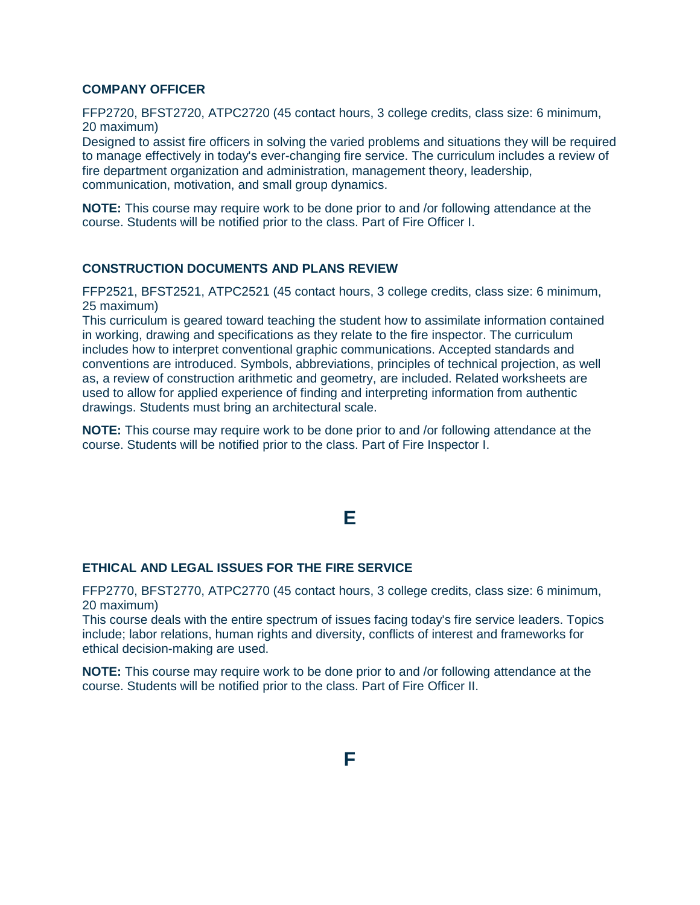## **COMPANY OFFICER**

FFP2720, BFST2720, ATPC2720 (45 contact hours, 3 college credits, class size: 6 minimum, 20 maximum)

Designed to assist fire officers in solving the varied problems and situations they will be required to manage effectively in today's ever-changing fire service. The curriculum includes a review of fire department organization and administration, management theory, leadership, communication, motivation, and small group dynamics.

**NOTE:** This course may require work to be done prior to and /or following attendance at the course. Students will be notified prior to the class. Part of Fire Officer I.

### **CONSTRUCTION DOCUMENTS AND PLANS REVIEW**

FFP2521, BFST2521, ATPC2521 (45 contact hours, 3 college credits, class size: 6 minimum, 25 maximum)

This curriculum is geared toward teaching the student how to assimilate information contained in working, drawing and specifications as they relate to the fire inspector. The curriculum includes how to interpret conventional graphic communications. Accepted standards and conventions are introduced. Symbols, abbreviations, principles of technical projection, as well as, a review of construction arithmetic and geometry, are included. Related worksheets are used to allow for applied experience of finding and interpreting information from authentic drawings. Students must bring an architectural scale.

**NOTE:** This course may require work to be done prior to and /or following attendance at the course. Students will be notified prior to the class. Part of Fire Inspector I.

# **E**

### **ETHICAL AND LEGAL ISSUES FOR THE FIRE SERVICE**

FFP2770, BFST2770, ATPC2770 (45 contact hours, 3 college credits, class size: 6 minimum, 20 maximum)

This course deals with the entire spectrum of issues facing today's fire service leaders. Topics include; labor relations, human rights and diversity, conflicts of interest and frameworks for ethical decision-making are used.

**NOTE:** This course may require work to be done prior to and /or following attendance at the course. Students will be notified prior to the class. Part of Fire Officer II.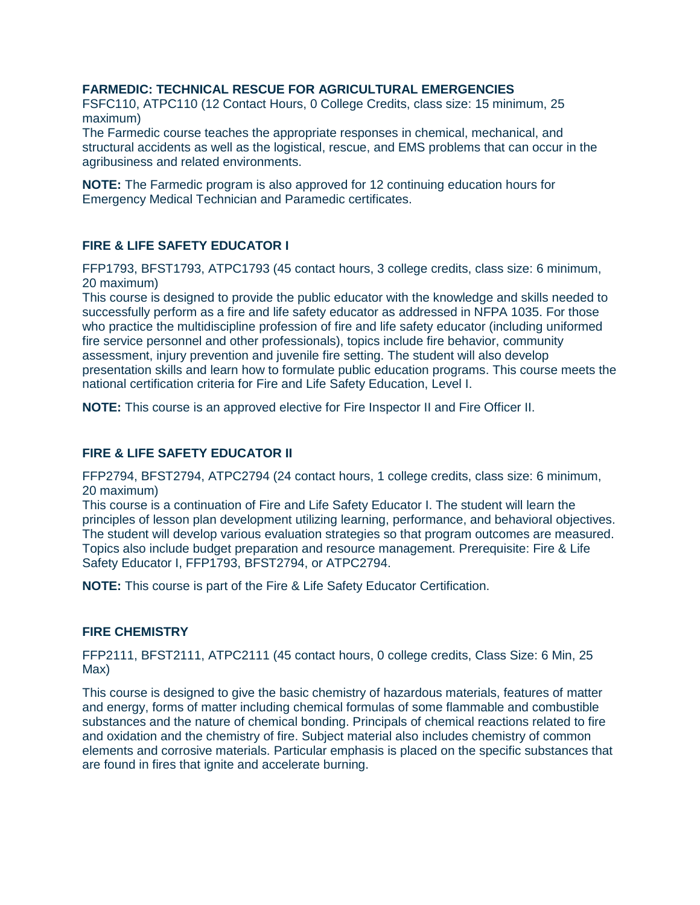# **FARMEDIC: TECHNICAL RESCUE FOR AGRICULTURAL EMERGENCIES**

FSFC110, ATPC110 (12 Contact Hours, 0 College Credits, class size: 15 minimum, 25 maximum)

The Farmedic course teaches the appropriate responses in chemical, mechanical, and structural accidents as well as the logistical, rescue, and EMS problems that can occur in the agribusiness and related environments.

**NOTE:** The Farmedic program is also approved for 12 continuing education hours for Emergency Medical Technician and Paramedic certificates.

# **FIRE & LIFE SAFETY EDUCATOR I**

FFP1793, BFST1793, ATPC1793 (45 contact hours, 3 college credits, class size: 6 minimum, 20 maximum)

This course is designed to provide the public educator with the knowledge and skills needed to successfully perform as a fire and life safety educator as addressed in NFPA 1035. For those who practice the multidiscipline profession of fire and life safety educator (including uniformed fire service personnel and other professionals), topics include fire behavior, community assessment, injury prevention and juvenile fire setting. The student will also develop presentation skills and learn how to formulate public education programs. This course meets the national certification criteria for Fire and Life Safety Education, Level I.

**NOTE:** This course is an approved elective for Fire Inspector II and Fire Officer II.

### **FIRE & LIFE SAFETY EDUCATOR II**

FFP2794, BFST2794, ATPC2794 (24 contact hours, 1 college credits, class size: 6 minimum, 20 maximum)

This course is a continuation of Fire and Life Safety Educator I. The student will learn the principles of lesson plan development utilizing learning, performance, and behavioral objectives. The student will develop various evaluation strategies so that program outcomes are measured. Topics also include budget preparation and resource management. Prerequisite: Fire & Life Safety Educator I, FFP1793, BFST2794, or ATPC2794.

**NOTE:** This course is part of the Fire & Life Safety Educator Certification.

### **FIRE CHEMISTRY**

FFP2111, BFST2111, ATPC2111 (45 contact hours, 0 college credits, Class Size: 6 Min, 25 Max)

This course is designed to give the basic chemistry of hazardous materials, features of matter and energy, forms of matter including chemical formulas of some flammable and combustible substances and the nature of chemical bonding. Principals of chemical reactions related to fire and oxidation and the chemistry of fire. Subject material also includes chemistry of common elements and corrosive materials. Particular emphasis is placed on the specific substances that are found in fires that ignite and accelerate burning.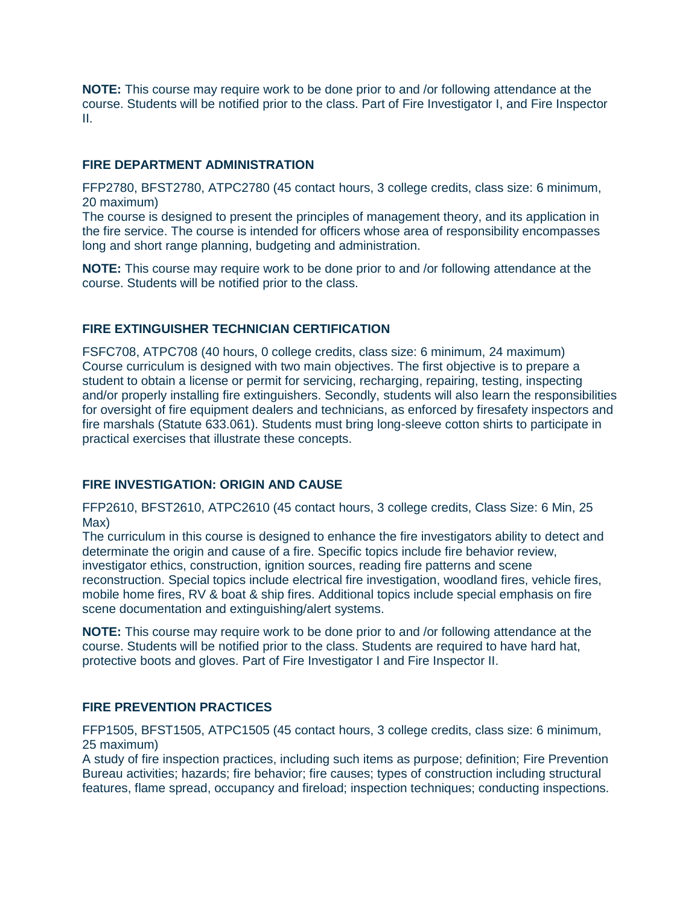**NOTE:** This course may require work to be done prior to and /or following attendance at the course. Students will be notified prior to the class. Part of Fire Investigator I, and Fire Inspector II.

## **FIRE DEPARTMENT ADMINISTRATION**

FFP2780, BFST2780, ATPC2780 (45 contact hours, 3 college credits, class size: 6 minimum, 20 maximum)

The course is designed to present the principles of management theory, and its application in the fire service. The course is intended for officers whose area of responsibility encompasses long and short range planning, budgeting and administration.

**NOTE:** This course may require work to be done prior to and /or following attendance at the course. Students will be notified prior to the class.

# **FIRE EXTINGUISHER TECHNICIAN CERTIFICATION**

FSFC708, ATPC708 (40 hours, 0 college credits, class size: 6 minimum, 24 maximum) Course curriculum is designed with two main objectives. The first objective is to prepare a student to obtain a license or permit for servicing, recharging, repairing, testing, inspecting and/or properly installing fire extinguishers. Secondly, students will also learn the responsibilities for oversight of fire equipment dealers and technicians, as enforced by firesafety inspectors and fire marshals (Statute 633.061). Students must bring long-sleeve cotton shirts to participate in practical exercises that illustrate these concepts.

# **FIRE INVESTIGATION: ORIGIN AND CAUSE**

FFP2610, BFST2610, ATPC2610 (45 contact hours, 3 college credits, Class Size: 6 Min, 25 Max)

The curriculum in this course is designed to enhance the fire investigators ability to detect and determinate the origin and cause of a fire. Specific topics include fire behavior review, investigator ethics, construction, ignition sources, reading fire patterns and scene reconstruction. Special topics include electrical fire investigation, woodland fires, vehicle fires, mobile home fires, RV & boat & ship fires. Additional topics include special emphasis on fire scene documentation and extinguishing/alert systems.

**NOTE:** This course may require work to be done prior to and /or following attendance at the course. Students will be notified prior to the class. Students are required to have hard hat, protective boots and gloves. Part of Fire Investigator I and Fire Inspector II.

# **FIRE PREVENTION PRACTICES**

FFP1505, BFST1505, ATPC1505 (45 contact hours, 3 college credits, class size: 6 minimum, 25 maximum)

A study of fire inspection practices, including such items as purpose; definition; Fire Prevention Bureau activities; hazards; fire behavior; fire causes; types of construction including structural features, flame spread, occupancy and fireload; inspection techniques; conducting inspections.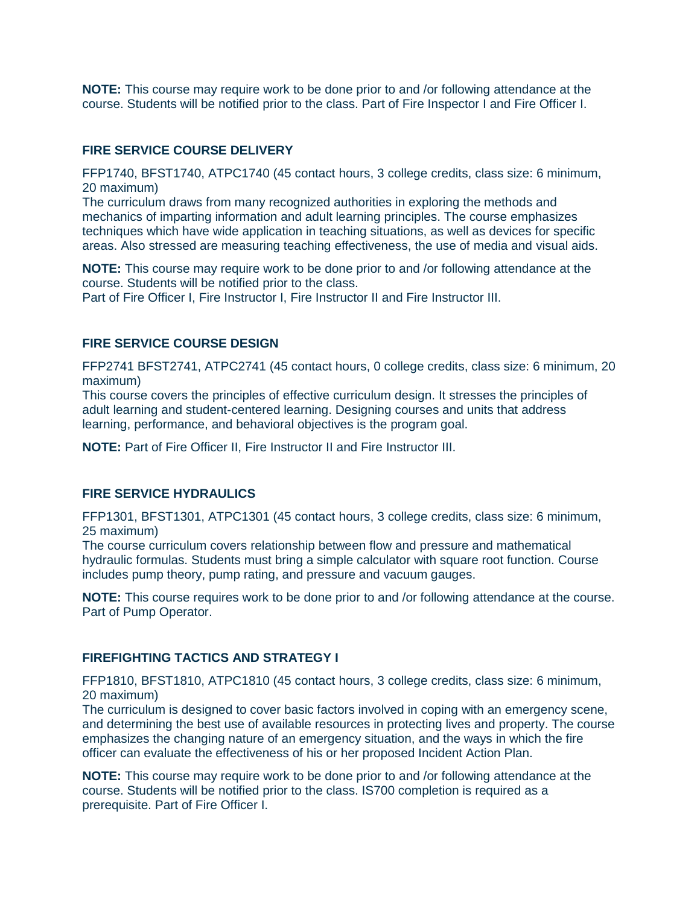**NOTE:** This course may require work to be done prior to and /or following attendance at the course. Students will be notified prior to the class. Part of Fire Inspector I and Fire Officer I.

### **FIRE SERVICE COURSE DELIVERY**

FFP1740, BFST1740, ATPC1740 (45 contact hours, 3 college credits, class size: 6 minimum, 20 maximum)

The curriculum draws from many recognized authorities in exploring the methods and mechanics of imparting information and adult learning principles. The course emphasizes techniques which have wide application in teaching situations, as well as devices for specific areas. Also stressed are measuring teaching effectiveness, the use of media and visual aids.

**NOTE:** This course may require work to be done prior to and /or following attendance at the course. Students will be notified prior to the class.

Part of Fire Officer I, Fire Instructor I, Fire Instructor II and Fire Instructor III.

## **FIRE SERVICE COURSE DESIGN**

FFP2741 BFST2741, ATPC2741 (45 contact hours, 0 college credits, class size: 6 minimum, 20 maximum)

This course covers the principles of effective curriculum design. It stresses the principles of adult learning and student-centered learning. Designing courses and units that address learning, performance, and behavioral objectives is the program goal.

**NOTE:** Part of Fire Officer II, Fire Instructor II and Fire Instructor III.

### **FIRE SERVICE HYDRAULICS**

FFP1301, BFST1301, ATPC1301 (45 contact hours, 3 college credits, class size: 6 minimum, 25 maximum)

The course curriculum covers relationship between flow and pressure and mathematical hydraulic formulas. Students must bring a simple calculator with square root function. Course includes pump theory, pump rating, and pressure and vacuum gauges.

**NOTE:** This course requires work to be done prior to and /or following attendance at the course. Part of Pump Operator.

### **FIREFIGHTING TACTICS AND STRATEGY I**

FFP1810, BFST1810, ATPC1810 (45 contact hours, 3 college credits, class size: 6 minimum, 20 maximum)

The curriculum is designed to cover basic factors involved in coping with an emergency scene, and determining the best use of available resources in protecting lives and property. The course emphasizes the changing nature of an emergency situation, and the ways in which the fire officer can evaluate the effectiveness of his or her proposed Incident Action Plan.

**NOTE:** This course may require work to be done prior to and /or following attendance at the course. Students will be notified prior to the class. IS700 completion is required as a prerequisite. Part of Fire Officer I.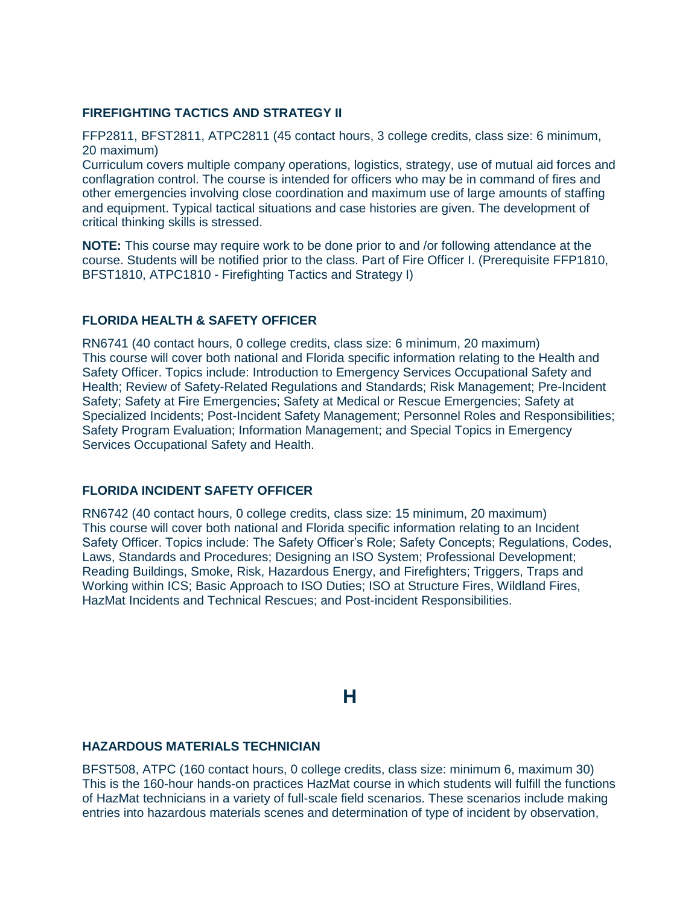# **FIREFIGHTING TACTICS AND STRATEGY II**

FFP2811, BFST2811, ATPC2811 (45 contact hours, 3 college credits, class size: 6 minimum, 20 maximum)

Curriculum covers multiple company operations, logistics, strategy, use of mutual aid forces and conflagration control. The course is intended for officers who may be in command of fires and other emergencies involving close coordination and maximum use of large amounts of staffing and equipment. Typical tactical situations and case histories are given. The development of critical thinking skills is stressed.

**NOTE:** This course may require work to be done prior to and /or following attendance at the course. Students will be notified prior to the class. Part of Fire Officer I. (Prerequisite FFP1810, BFST1810, ATPC1810 - Firefighting Tactics and Strategy I)

# **FLORIDA HEALTH & SAFETY OFFICER**

RN6741 (40 contact hours, 0 college credits, class size: 6 minimum, 20 maximum) This course will cover both national and Florida specific information relating to the Health and Safety Officer. Topics include: Introduction to Emergency Services Occupational Safety and Health; Review of Safety-Related Regulations and Standards; Risk Management; Pre-Incident Safety; Safety at Fire Emergencies; Safety at Medical or Rescue Emergencies; Safety at Specialized Incidents; Post-Incident Safety Management; Personnel Roles and Responsibilities; Safety Program Evaluation; Information Management; and Special Topics in Emergency Services Occupational Safety and Health.

# **FLORIDA INCIDENT SAFETY OFFICER**

RN6742 (40 contact hours, 0 college credits, class size: 15 minimum, 20 maximum) This course will cover both national and Florida specific information relating to an Incident Safety Officer. Topics include: The Safety Officer's Role; Safety Concepts; Regulations, Codes, Laws, Standards and Procedures; Designing an ISO System; Professional Development; Reading Buildings, Smoke, Risk, Hazardous Energy, and Firefighters; Triggers, Traps and Working within ICS; Basic Approach to ISO Duties; ISO at Structure Fires, Wildland Fires, HazMat Incidents and Technical Rescues; and Post-incident Responsibilities.

**H**

### **HAZARDOUS MATERIALS TECHNICIAN**

BFST508, ATPC (160 contact hours, 0 college credits, class size: minimum 6, maximum 30) This is the 160-hour hands-on practices HazMat course in which students will fulfill the functions of HazMat technicians in a variety of full-scale field scenarios. These scenarios include making entries into hazardous materials scenes and determination of type of incident by observation,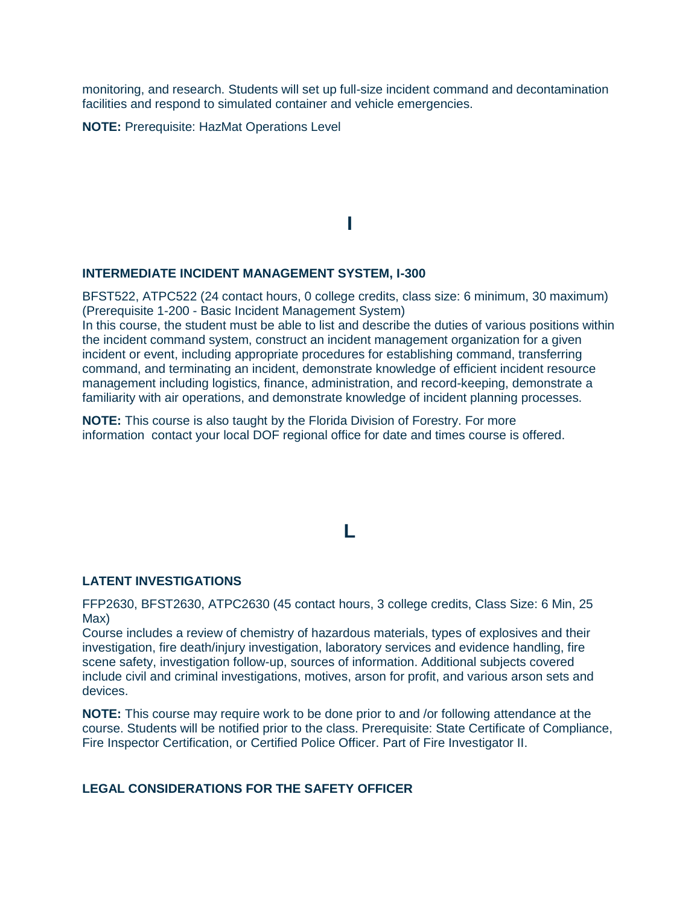monitoring, and research. Students will set up full-size incident command and decontamination facilities and respond to simulated container and vehicle emergencies.

**NOTE:** Prerequisite: HazMat Operations Level

# **I**

### **INTERMEDIATE INCIDENT MANAGEMENT SYSTEM, I-300**

BFST522, ATPC522 (24 contact hours, 0 college credits, class size: 6 minimum, 30 maximum) (Prerequisite 1-200 - Basic Incident Management System) In this course, the student must be able to list and describe the duties of various positions within the incident command system, construct an incident management organization for a given incident or event, including appropriate procedures for establishing command, transferring command, and terminating an incident, demonstrate knowledge of efficient incident resource management including logistics, finance, administration, and record-keeping, demonstrate a familiarity with air operations, and demonstrate knowledge of incident planning processes.

**NOTE:** This course is also taught by the Florida Division of Forestry. For more information contact your local DOF regional office for date and times course is offered.

# **L**

### **LATENT INVESTIGATIONS**

FFP2630, BFST2630, ATPC2630 (45 contact hours, 3 college credits, Class Size: 6 Min, 25 Max)

Course includes a review of chemistry of hazardous materials, types of explosives and their investigation, fire death/injury investigation, laboratory services and evidence handling, fire scene safety, investigation follow-up, sources of information. Additional subjects covered include civil and criminal investigations, motives, arson for profit, and various arson sets and devices.

**NOTE:** This course may require work to be done prior to and /or following attendance at the course. Students will be notified prior to the class. Prerequisite: State Certificate of Compliance, Fire Inspector Certification, or Certified Police Officer. Part of Fire Investigator II.

### **LEGAL CONSIDERATIONS FOR THE SAFETY OFFICER**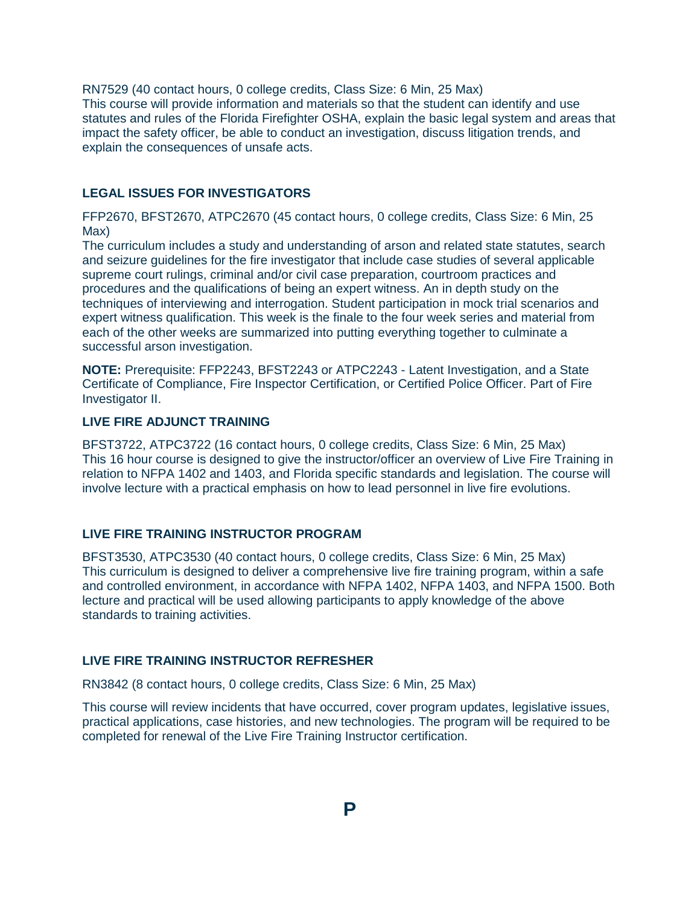RN7529 (40 contact hours, 0 college credits, Class Size: 6 Min, 25 Max) This course will provide information and materials so that the student can identify and use statutes and rules of the Florida Firefighter OSHA, explain the basic legal system and areas that impact the safety officer, be able to conduct an investigation, discuss litigation trends, and explain the consequences of unsafe acts.

# **LEGAL ISSUES FOR INVESTIGATORS**

FFP2670, BFST2670, ATPC2670 (45 contact hours, 0 college credits, Class Size: 6 Min, 25 Max)

The curriculum includes a study and understanding of arson and related state statutes, search and seizure guidelines for the fire investigator that include case studies of several applicable supreme court rulings, criminal and/or civil case preparation, courtroom practices and procedures and the qualifications of being an expert witness. An in depth study on the techniques of interviewing and interrogation. Student participation in mock trial scenarios and expert witness qualification. This week is the finale to the four week series and material from each of the other weeks are summarized into putting everything together to culminate a successful arson investigation.

**NOTE:** Prerequisite: FFP2243, BFST2243 or ATPC2243 - Latent Investigation, and a State Certificate of Compliance, Fire Inspector Certification, or Certified Police Officer. Part of Fire Investigator II.

# **LIVE FIRE ADJUNCT TRAINING**

BFST3722, ATPC3722 (16 contact hours, 0 college credits, Class Size: 6 Min, 25 Max) This 16 hour course is designed to give the instructor/officer an overview of Live Fire Training in relation to NFPA 1402 and 1403, and Florida specific standards and legislation. The course will involve lecture with a practical emphasis on how to lead personnel in live fire evolutions.

### **LIVE FIRE TRAINING INSTRUCTOR PROGRAM**

BFST3530, ATPC3530 (40 contact hours, 0 college credits, Class Size: 6 Min, 25 Max) This curriculum is designed to deliver a comprehensive live fire training program, within a safe and controlled environment, in accordance with NFPA 1402, NFPA 1403, and NFPA 1500. Both lecture and practical will be used allowing participants to apply knowledge of the above standards to training activities.

# **LIVE FIRE TRAINING INSTRUCTOR REFRESHER**

RN3842 (8 contact hours, 0 college credits, Class Size: 6 Min, 25 Max)

This course will review incidents that have occurred, cover program updates, legislative issues, practical applications, case histories, and new technologies. The program will be required to be completed for renewal of the Live Fire Training Instructor certification.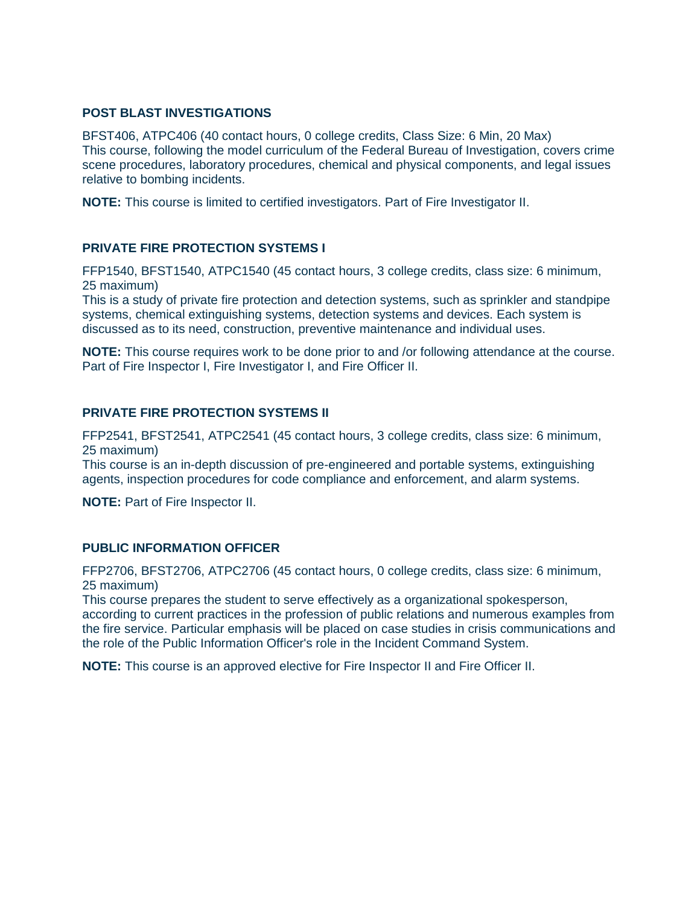# **POST BLAST INVESTIGATIONS**

BFST406, ATPC406 (40 contact hours, 0 college credits, Class Size: 6 Min, 20 Max) This course, following the model curriculum of the Federal Bureau of Investigation, covers crime scene procedures, laboratory procedures, chemical and physical components, and legal issues relative to bombing incidents.

**NOTE:** This course is limited to certified investigators. Part of Fire Investigator II.

# **PRIVATE FIRE PROTECTION SYSTEMS I**

FFP1540, BFST1540, ATPC1540 (45 contact hours, 3 college credits, class size: 6 minimum, 25 maximum)

This is a study of private fire protection and detection systems, such as sprinkler and standpipe systems, chemical extinguishing systems, detection systems and devices. Each system is discussed as to its need, construction, preventive maintenance and individual uses.

**NOTE:** This course requires work to be done prior to and /or following attendance at the course. Part of Fire Inspector I, Fire Investigator I, and Fire Officer II.

### **PRIVATE FIRE PROTECTION SYSTEMS II**

FFP2541, BFST2541, ATPC2541 (45 contact hours, 3 college credits, class size: 6 minimum, 25 maximum)

This course is an in-depth discussion of pre-engineered and portable systems, extinguishing agents, inspection procedures for code compliance and enforcement, and alarm systems.

**NOTE:** Part of Fire Inspector II.

# **PUBLIC INFORMATION OFFICER**

FFP2706, BFST2706, ATPC2706 (45 contact hours, 0 college credits, class size: 6 minimum, 25 maximum)

This course prepares the student to serve effectively as a organizational spokesperson, according to current practices in the profession of public relations and numerous examples from the fire service. Particular emphasis will be placed on case studies in crisis communications and the role of the Public Information Officer's role in the Incident Command System.

**NOTE:** This course is an approved elective for Fire Inspector II and Fire Officer II.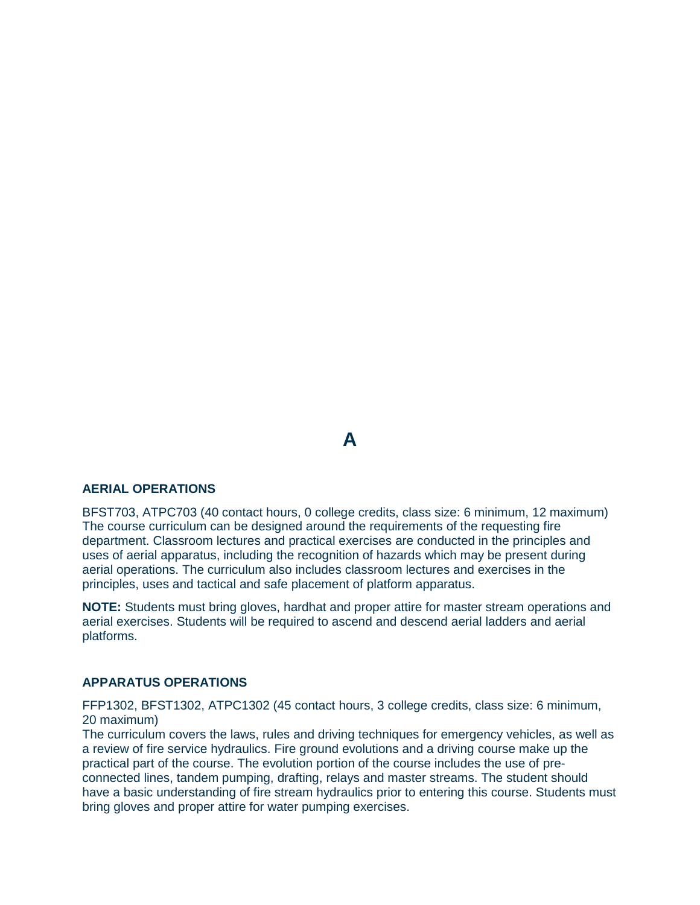# **A**

### **AERIAL OPERATIONS**

BFST703, ATPC703 (40 contact hours, 0 college credits, class size: 6 minimum, 12 maximum) The course curriculum can be designed around the requirements of the requesting fire department. Classroom lectures and practical exercises are conducted in the principles and uses of aerial apparatus, including the recognition of hazards which may be present during aerial operations. The curriculum also includes classroom lectures and exercises in the principles, uses and tactical and safe placement of platform apparatus.

**NOTE:** Students must bring gloves, hardhat and proper attire for master stream operations and aerial exercises. Students will be required to ascend and descend aerial ladders and aerial platforms.

### **APPARATUS OPERATIONS**

FFP1302, BFST1302, ATPC1302 (45 contact hours, 3 college credits, class size: 6 minimum, 20 maximum)

The curriculum covers the laws, rules and driving techniques for emergency vehicles, as well as a review of fire service hydraulics. Fire ground evolutions and a driving course make up the practical part of the course. The evolution portion of the course includes the use of preconnected lines, tandem pumping, drafting, relays and master streams. The student should have a basic understanding of fire stream hydraulics prior to entering this course. Students must bring gloves and proper attire for water pumping exercises.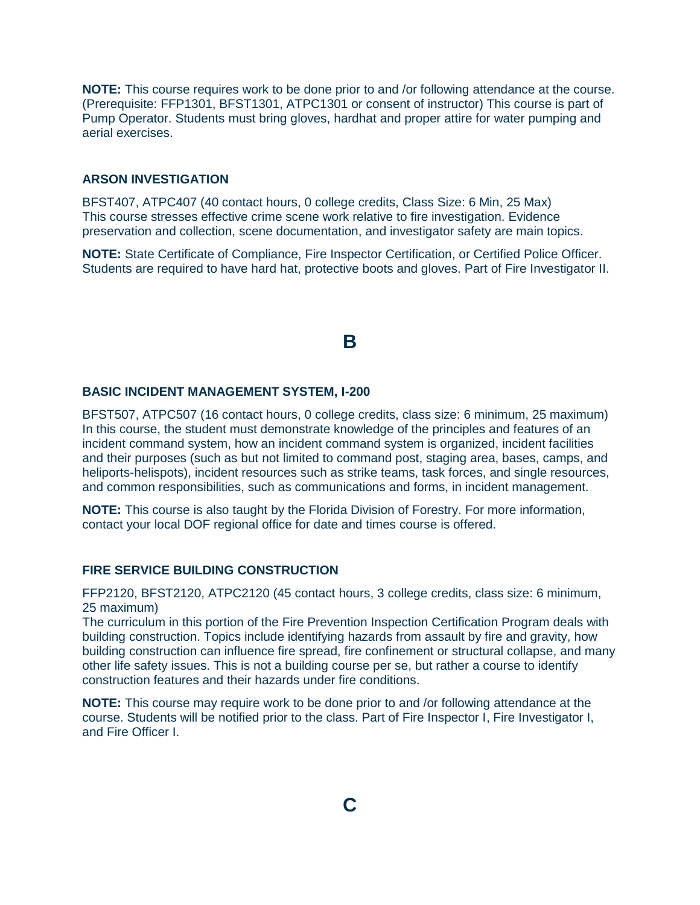**NOTE:** This course requires work to be done prior to and /or following attendance at the course. (Prerequisite: FFP1301, BFST1301, ATPC1301 or consent of instructor) This course is part of Pump Operator. Students must bring gloves, hardhat and proper attire for water pumping and aerial exercises.

## **ARSON INVESTIGATION**

BFST407, ATPC407 (40 contact hours, 0 college credits, Class Size: 6 Min, 25 Max) This course stresses effective crime scene work relative to fire investigation. Evidence preservation and collection, scene documentation, and investigator safety are main topics.

**NOTE:** State Certificate of Compliance, Fire Inspector Certification, or Certified Police Officer. Students are required to have hard hat, protective boots and gloves. Part of Fire Investigator II.

# **B**

### **BASIC INCIDENT MANAGEMENT SYSTEM, I-200**

BFST507, ATPC507 (16 contact hours, 0 college credits, class size: 6 minimum, 25 maximum) In this course, the student must demonstrate knowledge of the principles and features of an incident command system, how an incident command system is organized, incident facilities and their purposes (such as but not limited to command post, staging area, bases, camps, and heliports-helispots), incident resources such as strike teams, task forces, and single resources, and common responsibilities, such as communications and forms, in incident management.

**NOTE:** This course is also taught by the Florida Division of Forestry. For more information, contact your local DOF regional office for date and times course is offered.

### **FIRE SERVICE BUILDING CONSTRUCTION**

FFP2120, BFST2120, ATPC2120 (45 contact hours, 3 college credits, class size: 6 minimum, 25 maximum)

The curriculum in this portion of the Fire Prevention Inspection Certification Program deals with building construction. Topics include identifying hazards from assault by fire and gravity, how building construction can influence fire spread, fire confinement or structural collapse, and many other life safety issues. This is not a building course per se, but rather a course to identify construction features and their hazards under fire conditions.

**NOTE:** This course may require work to be done prior to and /or following attendance at the course. Students will be notified prior to the class. Part of Fire Inspector I, Fire Investigator I, and Fire Officer I.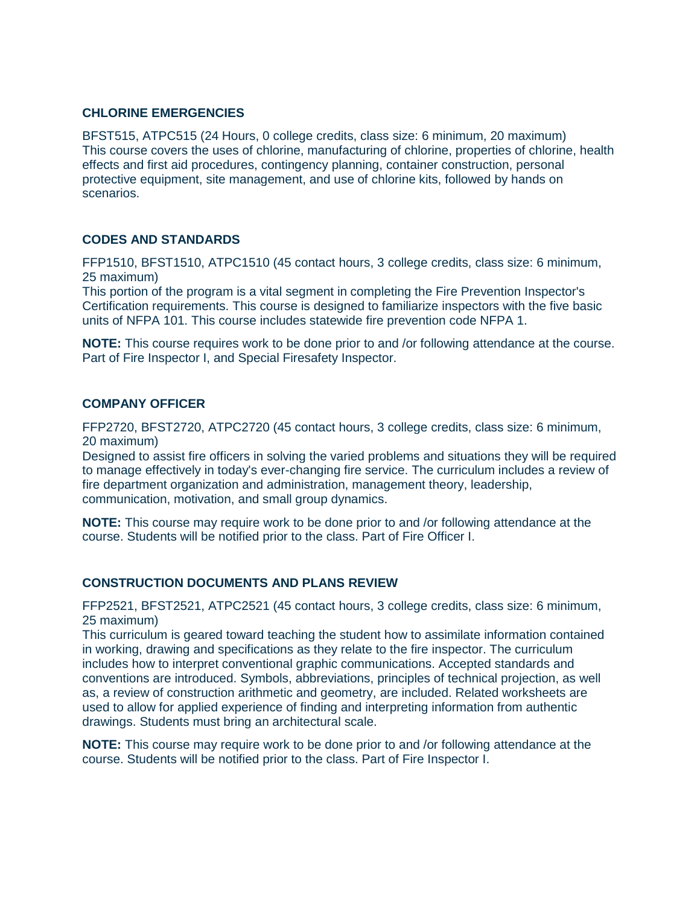# **CHLORINE EMERGENCIES**

BFST515, ATPC515 (24 Hours, 0 college credits, class size: 6 minimum, 20 maximum) This course covers the uses of chlorine, manufacturing of chlorine, properties of chlorine, health effects and first aid procedures, contingency planning, container construction, personal protective equipment, site management, and use of chlorine kits, followed by hands on scenarios.

## **CODES AND STANDARDS**

FFP1510, BFST1510, ATPC1510 (45 contact hours, 3 college credits, class size: 6 minimum, 25 maximum)

This portion of the program is a vital segment in completing the Fire Prevention Inspector's Certification requirements. This course is designed to familiarize inspectors with the five basic units of NFPA 101. This course includes statewide fire prevention code NFPA 1.

**NOTE:** This course requires work to be done prior to and /or following attendance at the course. Part of Fire Inspector I, and Special Firesafety Inspector.

### **COMPANY OFFICER**

FFP2720, BFST2720, ATPC2720 (45 contact hours, 3 college credits, class size: 6 minimum, 20 maximum)

Designed to assist fire officers in solving the varied problems and situations they will be required to manage effectively in today's ever-changing fire service. The curriculum includes a review of fire department organization and administration, management theory, leadership, communication, motivation, and small group dynamics.

**NOTE:** This course may require work to be done prior to and /or following attendance at the course. Students will be notified prior to the class. Part of Fire Officer I.

### **CONSTRUCTION DOCUMENTS AND PLANS REVIEW**

FFP2521, BFST2521, ATPC2521 (45 contact hours, 3 college credits, class size: 6 minimum, 25 maximum)

This curriculum is geared toward teaching the student how to assimilate information contained in working, drawing and specifications as they relate to the fire inspector. The curriculum includes how to interpret conventional graphic communications. Accepted standards and conventions are introduced. Symbols, abbreviations, principles of technical projection, as well as, a review of construction arithmetic and geometry, are included. Related worksheets are used to allow for applied experience of finding and interpreting information from authentic drawings. Students must bring an architectural scale.

**NOTE:** This course may require work to be done prior to and /or following attendance at the course. Students will be notified prior to the class. Part of Fire Inspector I.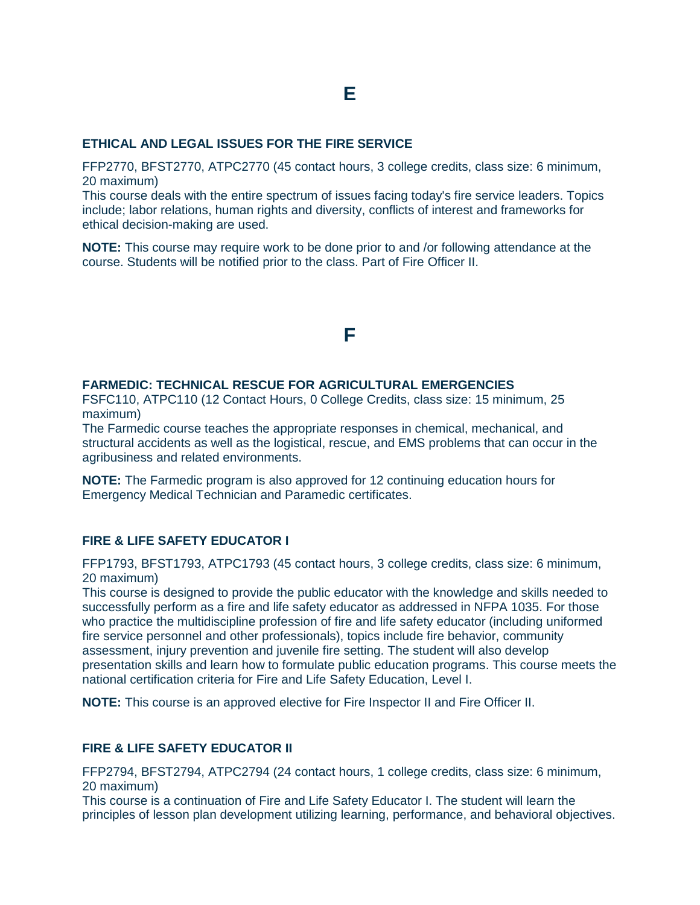### **ETHICAL AND LEGAL ISSUES FOR THE FIRE SERVICE**

FFP2770, BFST2770, ATPC2770 (45 contact hours, 3 college credits, class size: 6 minimum, 20 maximum)

This course deals with the entire spectrum of issues facing today's fire service leaders. Topics include; labor relations, human rights and diversity, conflicts of interest and frameworks for ethical decision-making are used.

**NOTE:** This course may require work to be done prior to and /or following attendance at the course. Students will be notified prior to the class. Part of Fire Officer II.

# **F**

### **FARMEDIC: TECHNICAL RESCUE FOR AGRICULTURAL EMERGENCIES**

FSFC110, ATPC110 (12 Contact Hours, 0 College Credits, class size: 15 minimum, 25 maximum)

The Farmedic course teaches the appropriate responses in chemical, mechanical, and structural accidents as well as the logistical, rescue, and EMS problems that can occur in the agribusiness and related environments.

**NOTE:** The Farmedic program is also approved for 12 continuing education hours for Emergency Medical Technician and Paramedic certificates.

## **FIRE & LIFE SAFETY EDUCATOR I**

FFP1793, BFST1793, ATPC1793 (45 contact hours, 3 college credits, class size: 6 minimum, 20 maximum)

This course is designed to provide the public educator with the knowledge and skills needed to successfully perform as a fire and life safety educator as addressed in NFPA 1035. For those who practice the multidiscipline profession of fire and life safety educator (including uniformed fire service personnel and other professionals), topics include fire behavior, community assessment, injury prevention and juvenile fire setting. The student will also develop presentation skills and learn how to formulate public education programs. This course meets the national certification criteria for Fire and Life Safety Education, Level I.

**NOTE:** This course is an approved elective for Fire Inspector II and Fire Officer II.

#### **FIRE & LIFE SAFETY EDUCATOR II**

FFP2794, BFST2794, ATPC2794 (24 contact hours, 1 college credits, class size: 6 minimum, 20 maximum)

This course is a continuation of Fire and Life Safety Educator I. The student will learn the principles of lesson plan development utilizing learning, performance, and behavioral objectives.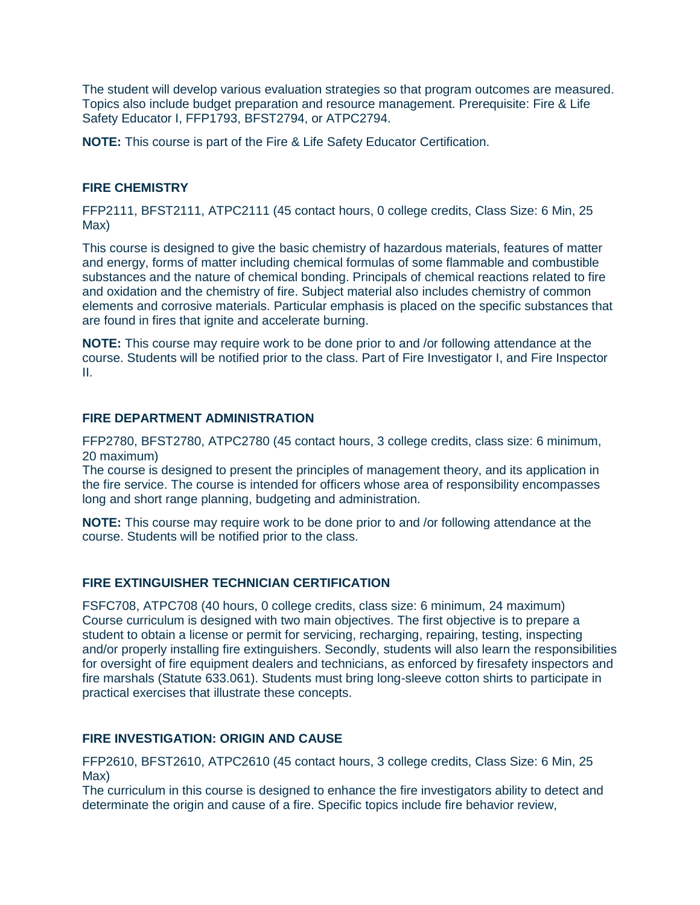The student will develop various evaluation strategies so that program outcomes are measured. Topics also include budget preparation and resource management. Prerequisite: Fire & Life Safety Educator I, FFP1793, BFST2794, or ATPC2794.

**NOTE:** This course is part of the Fire & Life Safety Educator Certification.

# **FIRE CHEMISTRY**

FFP2111, BFST2111, ATPC2111 (45 contact hours, 0 college credits, Class Size: 6 Min, 25 Max)

This course is designed to give the basic chemistry of hazardous materials, features of matter and energy, forms of matter including chemical formulas of some flammable and combustible substances and the nature of chemical bonding. Principals of chemical reactions related to fire and oxidation and the chemistry of fire. Subject material also includes chemistry of common elements and corrosive materials. Particular emphasis is placed on the specific substances that are found in fires that ignite and accelerate burning.

**NOTE:** This course may require work to be done prior to and /or following attendance at the course. Students will be notified prior to the class. Part of Fire Investigator I, and Fire Inspector II.

## **FIRE DEPARTMENT ADMINISTRATION**

FFP2780, BFST2780, ATPC2780 (45 contact hours, 3 college credits, class size: 6 minimum, 20 maximum)

The course is designed to present the principles of management theory, and its application in the fire service. The course is intended for officers whose area of responsibility encompasses long and short range planning, budgeting and administration.

**NOTE:** This course may require work to be done prior to and /or following attendance at the course. Students will be notified prior to the class.

# **FIRE EXTINGUISHER TECHNICIAN CERTIFICATION**

FSFC708, ATPC708 (40 hours, 0 college credits, class size: 6 minimum, 24 maximum) Course curriculum is designed with two main objectives. The first objective is to prepare a student to obtain a license or permit for servicing, recharging, repairing, testing, inspecting and/or properly installing fire extinguishers. Secondly, students will also learn the responsibilities for oversight of fire equipment dealers and technicians, as enforced by firesafety inspectors and fire marshals (Statute 633.061). Students must bring long-sleeve cotton shirts to participate in practical exercises that illustrate these concepts.

# **FIRE INVESTIGATION: ORIGIN AND CAUSE**

FFP2610, BFST2610, ATPC2610 (45 contact hours, 3 college credits, Class Size: 6 Min, 25 Max)

The curriculum in this course is designed to enhance the fire investigators ability to detect and determinate the origin and cause of a fire. Specific topics include fire behavior review,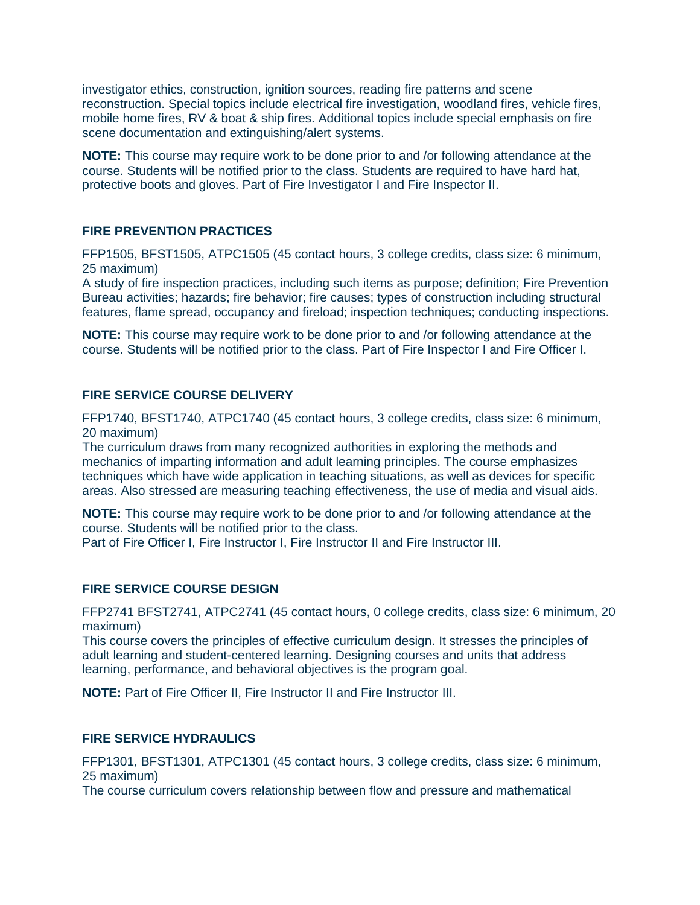investigator ethics, construction, ignition sources, reading fire patterns and scene reconstruction. Special topics include electrical fire investigation, woodland fires, vehicle fires, mobile home fires, RV & boat & ship fires. Additional topics include special emphasis on fire scene documentation and extinguishing/alert systems.

**NOTE:** This course may require work to be done prior to and /or following attendance at the course. Students will be notified prior to the class. Students are required to have hard hat, protective boots and gloves. Part of Fire Investigator I and Fire Inspector II.

## **FIRE PREVENTION PRACTICES**

FFP1505, BFST1505, ATPC1505 (45 contact hours, 3 college credits, class size: 6 minimum, 25 maximum)

A study of fire inspection practices, including such items as purpose; definition; Fire Prevention Bureau activities; hazards; fire behavior; fire causes; types of construction including structural features, flame spread, occupancy and fireload; inspection techniques; conducting inspections.

**NOTE:** This course may require work to be done prior to and /or following attendance at the course. Students will be notified prior to the class. Part of Fire Inspector I and Fire Officer I.

### **FIRE SERVICE COURSE DELIVERY**

FFP1740, BFST1740, ATPC1740 (45 contact hours, 3 college credits, class size: 6 minimum, 20 maximum)

The curriculum draws from many recognized authorities in exploring the methods and mechanics of imparting information and adult learning principles. The course emphasizes techniques which have wide application in teaching situations, as well as devices for specific areas. Also stressed are measuring teaching effectiveness, the use of media and visual aids.

**NOTE:** This course may require work to be done prior to and /or following attendance at the course. Students will be notified prior to the class.

Part of Fire Officer I, Fire Instructor I, Fire Instructor II and Fire Instructor III.

### **FIRE SERVICE COURSE DESIGN**

FFP2741 BFST2741, ATPC2741 (45 contact hours, 0 college credits, class size: 6 minimum, 20 maximum)

This course covers the principles of effective curriculum design. It stresses the principles of adult learning and student-centered learning. Designing courses and units that address learning, performance, and behavioral objectives is the program goal.

**NOTE:** Part of Fire Officer II, Fire Instructor II and Fire Instructor III.

### **FIRE SERVICE HYDRAULICS**

FFP1301, BFST1301, ATPC1301 (45 contact hours, 3 college credits, class size: 6 minimum, 25 maximum)

The course curriculum covers relationship between flow and pressure and mathematical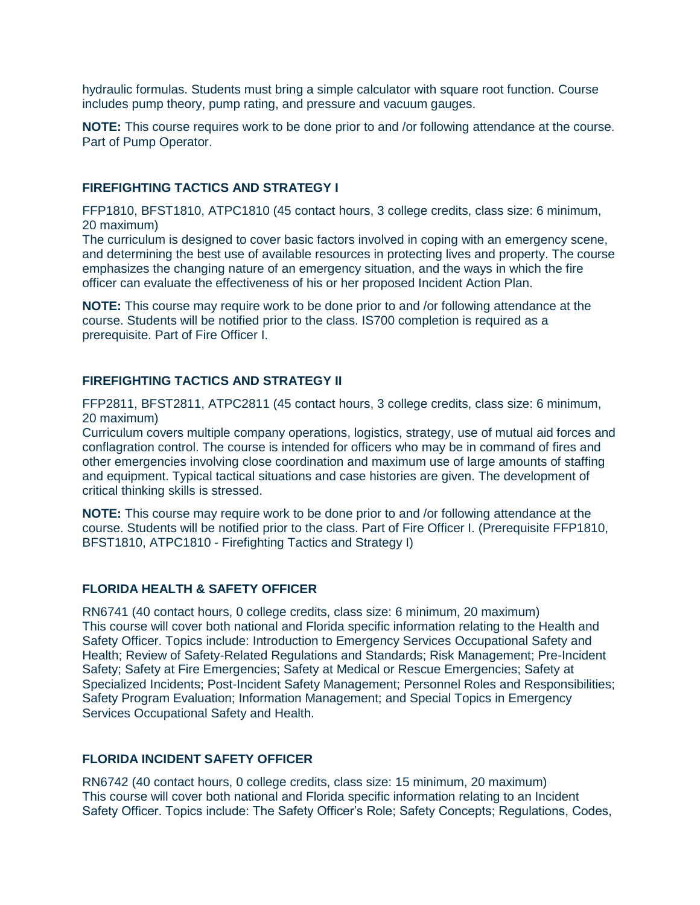hydraulic formulas. Students must bring a simple calculator with square root function. Course includes pump theory, pump rating, and pressure and vacuum gauges.

**NOTE:** This course requires work to be done prior to and /or following attendance at the course. Part of Pump Operator.

### **FIREFIGHTING TACTICS AND STRATEGY I**

FFP1810, BFST1810, ATPC1810 (45 contact hours, 3 college credits, class size: 6 minimum, 20 maximum)

The curriculum is designed to cover basic factors involved in coping with an emergency scene, and determining the best use of available resources in protecting lives and property. The course emphasizes the changing nature of an emergency situation, and the ways in which the fire officer can evaluate the effectiveness of his or her proposed Incident Action Plan.

**NOTE:** This course may require work to be done prior to and /or following attendance at the course. Students will be notified prior to the class. IS700 completion is required as a prerequisite. Part of Fire Officer I.

### **FIREFIGHTING TACTICS AND STRATEGY II**

FFP2811, BFST2811, ATPC2811 (45 contact hours, 3 college credits, class size: 6 minimum, 20 maximum)

Curriculum covers multiple company operations, logistics, strategy, use of mutual aid forces and conflagration control. The course is intended for officers who may be in command of fires and other emergencies involving close coordination and maximum use of large amounts of staffing and equipment. Typical tactical situations and case histories are given. The development of critical thinking skills is stressed.

**NOTE:** This course may require work to be done prior to and /or following attendance at the course. Students will be notified prior to the class. Part of Fire Officer I. (Prerequisite FFP1810, BFST1810, ATPC1810 - Firefighting Tactics and Strategy I)

### **FLORIDA HEALTH & SAFETY OFFICER**

RN6741 (40 contact hours, 0 college credits, class size: 6 minimum, 20 maximum) This course will cover both national and Florida specific information relating to the Health and Safety Officer. Topics include: Introduction to Emergency Services Occupational Safety and Health; Review of Safety-Related Regulations and Standards; Risk Management; Pre-Incident Safety; Safety at Fire Emergencies; Safety at Medical or Rescue Emergencies; Safety at Specialized Incidents; Post-Incident Safety Management; Personnel Roles and Responsibilities; Safety Program Evaluation; Information Management; and Special Topics in Emergency Services Occupational Safety and Health.

### **FLORIDA INCIDENT SAFETY OFFICER**

RN6742 (40 contact hours, 0 college credits, class size: 15 minimum, 20 maximum) This course will cover both national and Florida specific information relating to an Incident Safety Officer. Topics include: The Safety Officer's Role; Safety Concepts; Regulations, Codes,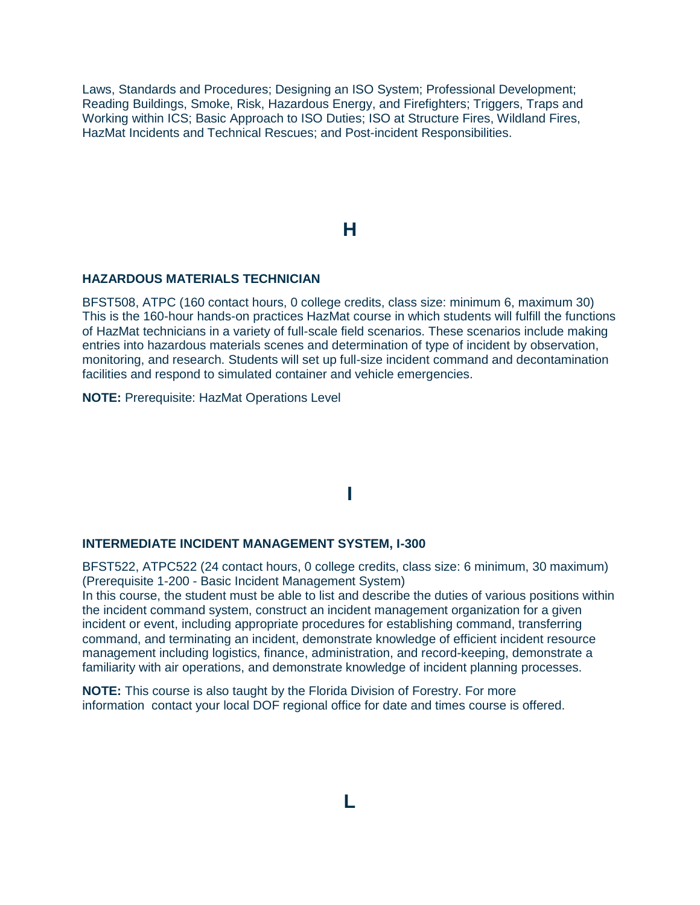Laws, Standards and Procedures; Designing an ISO System; Professional Development; Reading Buildings, Smoke, Risk, Hazardous Energy, and Firefighters; Triggers, Traps and Working within ICS; Basic Approach to ISO Duties; ISO at Structure Fires, Wildland Fires, HazMat Incidents and Technical Rescues; and Post-incident Responsibilities.

# **H**

#### **HAZARDOUS MATERIALS TECHNICIAN**

BFST508, ATPC (160 contact hours, 0 college credits, class size: minimum 6, maximum 30) This is the 160-hour hands-on practices HazMat course in which students will fulfill the functions of HazMat technicians in a variety of full-scale field scenarios. These scenarios include making entries into hazardous materials scenes and determination of type of incident by observation, monitoring, and research. Students will set up full-size incident command and decontamination facilities and respond to simulated container and vehicle emergencies.

**NOTE:** Prerequisite: HazMat Operations Level

# **I**

#### **INTERMEDIATE INCIDENT MANAGEMENT SYSTEM, I-300**

BFST522, ATPC522 (24 contact hours, 0 college credits, class size: 6 minimum, 30 maximum) (Prerequisite 1-200 - Basic Incident Management System)

In this course, the student must be able to list and describe the duties of various positions within the incident command system, construct an incident management organization for a given incident or event, including appropriate procedures for establishing command, transferring command, and terminating an incident, demonstrate knowledge of efficient incident resource management including logistics, finance, administration, and record-keeping, demonstrate a familiarity with air operations, and demonstrate knowledge of incident planning processes.

**NOTE:** This course is also taught by the Florida Division of Forestry. For more information contact your local DOF regional office for date and times course is offered.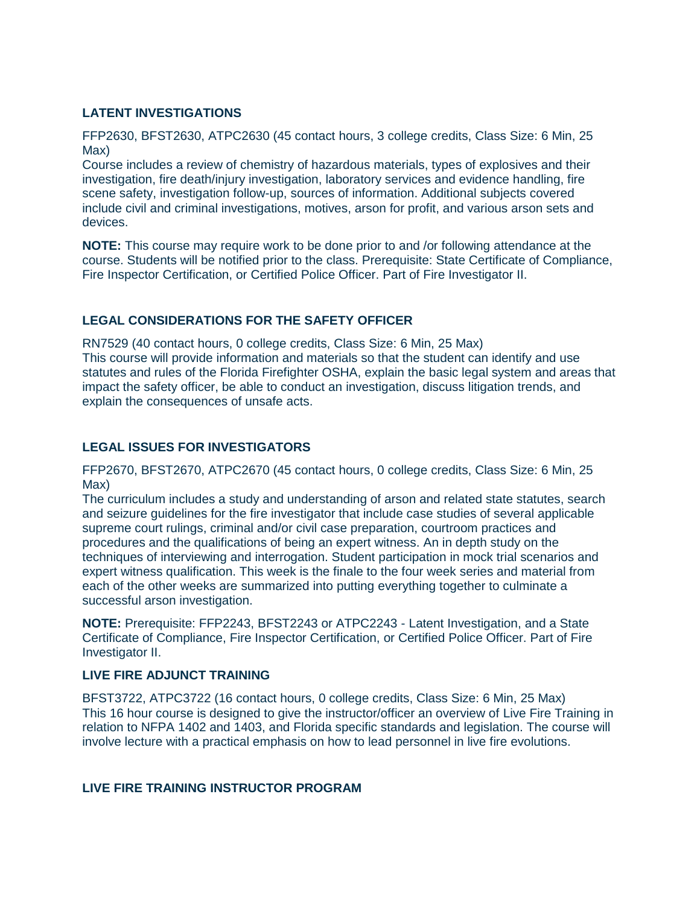# **LATENT INVESTIGATIONS**

FFP2630, BFST2630, ATPC2630 (45 contact hours, 3 college credits, Class Size: 6 Min, 25 Max)

Course includes a review of chemistry of hazardous materials, types of explosives and their investigation, fire death/injury investigation, laboratory services and evidence handling, fire scene safety, investigation follow-up, sources of information. Additional subjects covered include civil and criminal investigations, motives, arson for profit, and various arson sets and devices.

**NOTE:** This course may require work to be done prior to and /or following attendance at the course. Students will be notified prior to the class. Prerequisite: State Certificate of Compliance, Fire Inspector Certification, or Certified Police Officer. Part of Fire Investigator II.

# **LEGAL CONSIDERATIONS FOR THE SAFETY OFFICER**

RN7529 (40 contact hours, 0 college credits, Class Size: 6 Min, 25 Max) This course will provide information and materials so that the student can identify and use statutes and rules of the Florida Firefighter OSHA, explain the basic legal system and areas that impact the safety officer, be able to conduct an investigation, discuss litigation trends, and explain the consequences of unsafe acts.

# **LEGAL ISSUES FOR INVESTIGATORS**

FFP2670, BFST2670, ATPC2670 (45 contact hours, 0 college credits, Class Size: 6 Min, 25 Max)

The curriculum includes a study and understanding of arson and related state statutes, search and seizure guidelines for the fire investigator that include case studies of several applicable supreme court rulings, criminal and/or civil case preparation, courtroom practices and procedures and the qualifications of being an expert witness. An in depth study on the techniques of interviewing and interrogation. Student participation in mock trial scenarios and expert witness qualification. This week is the finale to the four week series and material from each of the other weeks are summarized into putting everything together to culminate a successful arson investigation.

**NOTE:** Prerequisite: FFP2243, BFST2243 or ATPC2243 - Latent Investigation, and a State Certificate of Compliance, Fire Inspector Certification, or Certified Police Officer. Part of Fire Investigator II.

# **LIVE FIRE ADJUNCT TRAINING**

BFST3722, ATPC3722 (16 contact hours, 0 college credits, Class Size: 6 Min, 25 Max) This 16 hour course is designed to give the instructor/officer an overview of Live Fire Training in relation to NFPA 1402 and 1403, and Florida specific standards and legislation. The course will involve lecture with a practical emphasis on how to lead personnel in live fire evolutions.

# **LIVE FIRE TRAINING INSTRUCTOR PROGRAM**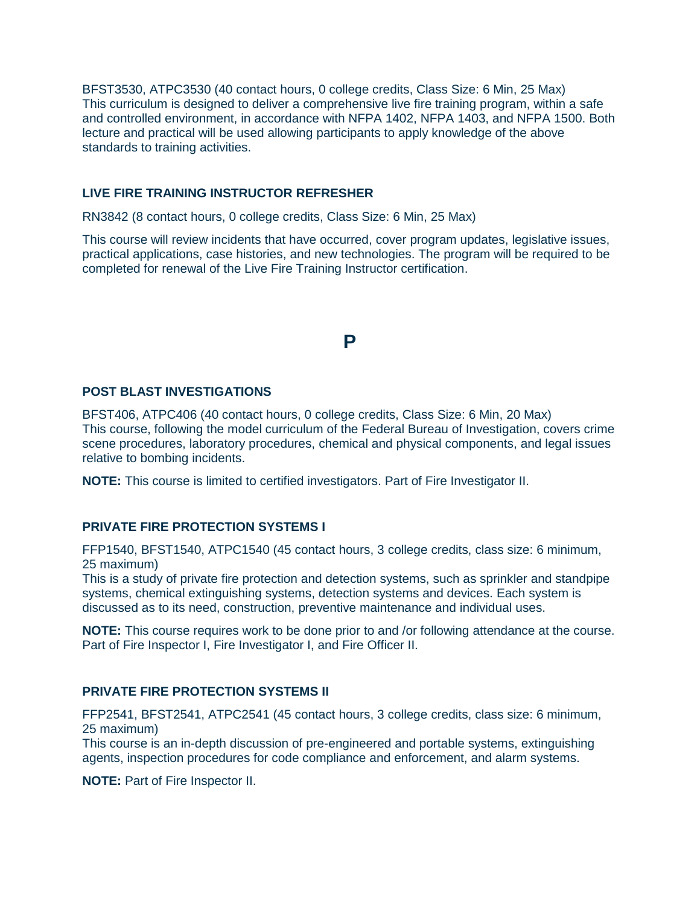BFST3530, ATPC3530 (40 contact hours, 0 college credits, Class Size: 6 Min, 25 Max) This curriculum is designed to deliver a comprehensive live fire training program, within a safe and controlled environment, in accordance with NFPA 1402, NFPA 1403, and NFPA 1500. Both lecture and practical will be used allowing participants to apply knowledge of the above standards to training activities.

# **LIVE FIRE TRAINING INSTRUCTOR REFRESHER**

RN3842 (8 contact hours, 0 college credits, Class Size: 6 Min, 25 Max)

This course will review incidents that have occurred, cover program updates, legislative issues, practical applications, case histories, and new technologies. The program will be required to be completed for renewal of the Live Fire Training Instructor certification.

# **P**

### **POST BLAST INVESTIGATIONS**

BFST406, ATPC406 (40 contact hours, 0 college credits, Class Size: 6 Min, 20 Max) This course, following the model curriculum of the Federal Bureau of Investigation, covers crime scene procedures, laboratory procedures, chemical and physical components, and legal issues relative to bombing incidents.

**NOTE:** This course is limited to certified investigators. Part of Fire Investigator II.

### **PRIVATE FIRE PROTECTION SYSTEMS I**

FFP1540, BFST1540, ATPC1540 (45 contact hours, 3 college credits, class size: 6 minimum, 25 maximum)

This is a study of private fire protection and detection systems, such as sprinkler and standpipe systems, chemical extinguishing systems, detection systems and devices. Each system is discussed as to its need, construction, preventive maintenance and individual uses.

**NOTE:** This course requires work to be done prior to and /or following attendance at the course. Part of Fire Inspector I, Fire Investigator I, and Fire Officer II.

# **PRIVATE FIRE PROTECTION SYSTEMS II**

FFP2541, BFST2541, ATPC2541 (45 contact hours, 3 college credits, class size: 6 minimum, 25 maximum)

This course is an in-depth discussion of pre-engineered and portable systems, extinguishing agents, inspection procedures for code compliance and enforcement, and alarm systems.

**NOTE:** Part of Fire Inspector II.